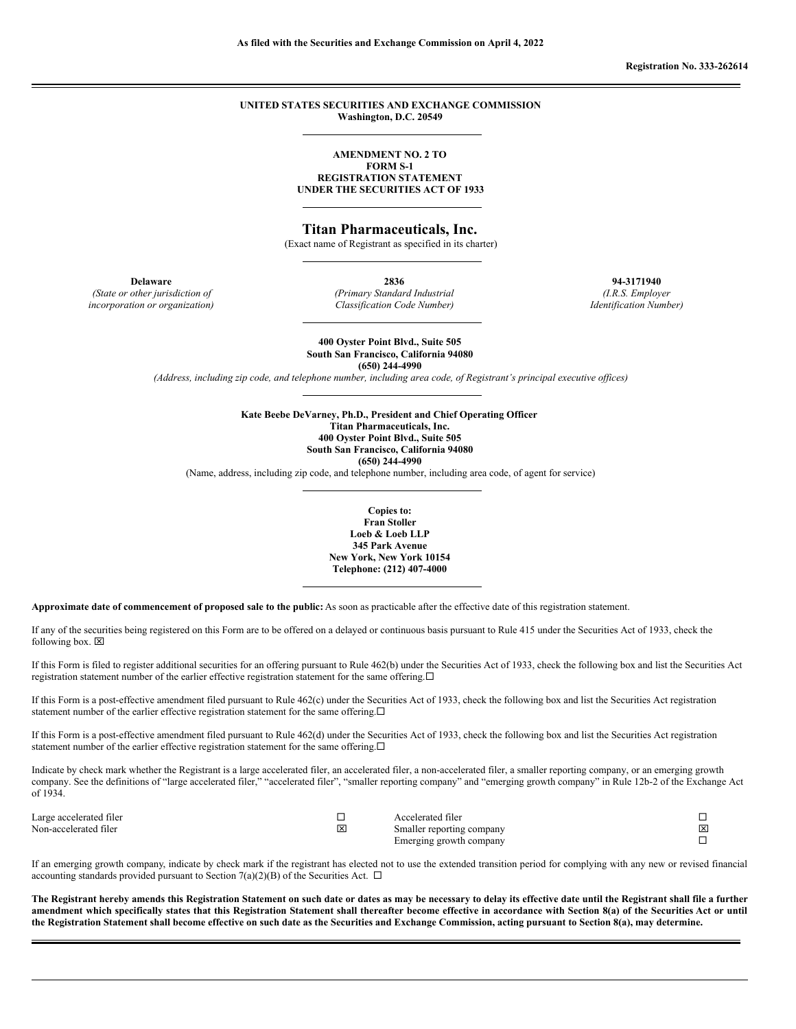**UNITED STATES SECURITIES AND EXCHANGE COMMISSION Washington, D.C. 20549**

> **AMENDMENT NO. 2 TO FORM S-1 REGISTRATION STATEMENT UNDER THE SECURITIES ACT OF 1933**

**Titan Pharmaceuticals, Inc.**

(Exact name of Registrant as specified in its charter)

*incorporation or organization) Classification Code Number) Identification Number)*

**Delaware 2836 94-3171940** *(State or other jurisdiction of (Primary Standard Industrial (I.R.S. Employer*

**400 Oyster Point Blvd., Suite 505 South San Francisco, California 94080 (650) 244-4990**

(Address, including zip code, and telephone number, including area code, of Registrant's principal executive offices)

**Kate Beebe DeVarney, Ph.D., President and Chief Operating Officer Titan Pharmaceuticals, Inc. 400 Oyster Point Blvd., Suite 505 South San Francisco, California 94080 (650) 244-4990**

(Name, address, including zip code, and telephone number, including area code, of agent for service)

**Copies to: Fran Stoller Loeb & Loeb LLP 345 Park Avenue New York, New York 10154 Telephone: (212) 407-4000**

**Approximate date of commencement of proposed sale to the public:** As soon as practicable after the effective date of this registration statement.

If any of the securities being registered on this Form are to be offered on a delayed or continuous basis pursuant to Rule 415 under the Securities Act of 1933, check the following box.  $\boxtimes$ 

If this Form is filed to register additional securities for an offering pursuant to Rule 462(b) under the Securities Act of 1933, check the following box and list the Securities Act registration statement number of the earlier effective registration statement for the same offering. $\Box$ 

If this Form is a post-effective amendment filed pursuant to Rule 462(c) under the Securities Act of 1933, check the following box and list the Securities Act registration statement number of the earlier effective registration statement for the same offering. $\Box$ 

If this Form is a post-effective amendment filed pursuant to Rule 462(d) under the Securities Act of 1933, check the following box and list the Securities Act registration statement number of the earlier effective registration statement for the same offering. $\Box$ 

Indicate by check mark whether the Registrant is a large accelerated filer, an accelerated filer, a non-accelerated filer, a smaller reporting company, or an emerging growth company. See the definitions of "large accelerated filer," "accelerated filer", "smaller reporting company" and "emerging growth company" in Rule 12b-2 of the Exchange Act of 1934.

| Large accelerated filer |   | Accelerated filer         |    |
|-------------------------|---|---------------------------|----|
| Non-accelerated filer   | X | Smaller reporting company | Ιx |
|                         |   | Emerging growth company   |    |

If an emerging growth company, indicate by check mark if the registrant has elected not to use the extended transition period for complying with any new or revised financial accounting standards provided pursuant to Section 7(a)(2)(B) of the Securities Act.  $\Box$ 

The Registrant hereby amends this Registration Statement on such date or dates as may be necessary to delay its effective date until the Registrant shall file a further amendment which specifically states that this Registration Statement shall thereafter become effective in accordance with Section 8(a) of the Securities Act or until the Registration Statement shall become effective on such date as the Securities and Exchange Commission, acting pursuant to Section 8(a), may determine.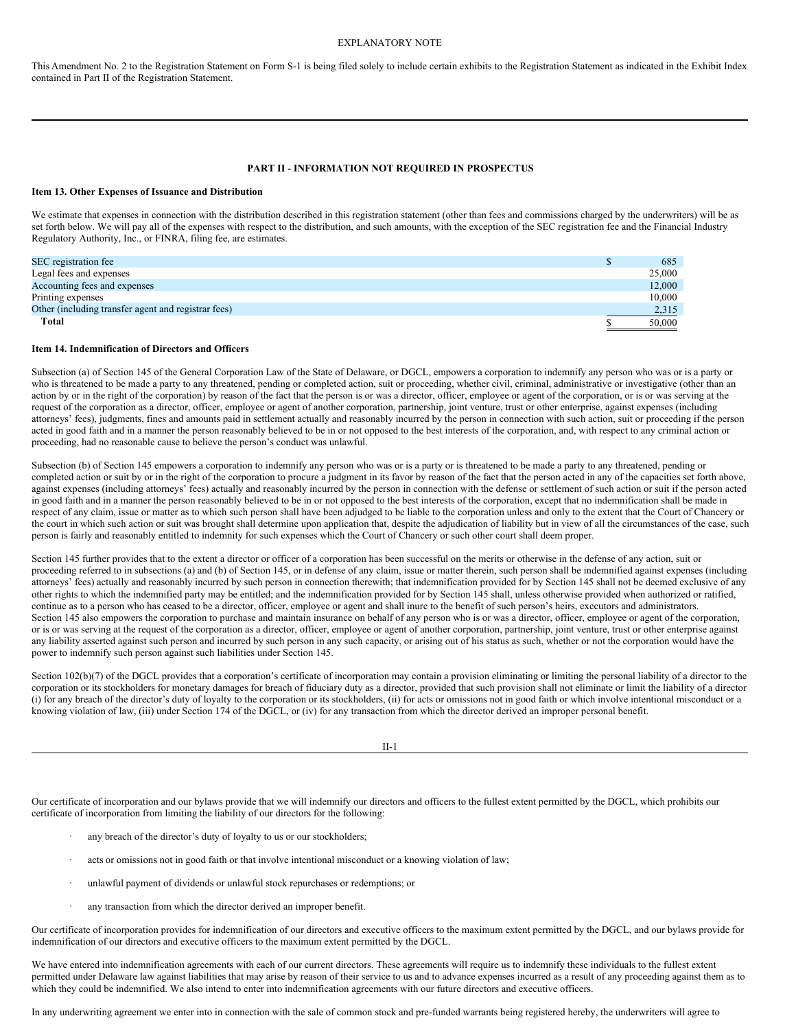#### EXPLANATORY NOTE

This Amendment No. 2 to the Registration Statement on Form S-1 is being filed solely to include certain exhibits to the Registration Statement as indicated in the Exhibit Index contained in Part II of the Registration Statement.

## **PART II - INFORMATION NOT REQUIRED IN PROSPECTUS**

#### **Item 13. Other Expenses of Issuance and Distribution**

We estimate that expenses in connection with the distribution described in this registration statement (other than fees and commissions charged by the underwriters) will be as set forth below. We will pay all of the expenses with respect to the distribution, and such amounts, with the exception of the SEC registration fee and the Financial Industry Regulatory Authority, Inc., or FINRA, filing fee, are estimates.

| SEC registration fee                                | 685    |
|-----------------------------------------------------|--------|
| Legal fees and expenses                             | 25,000 |
| Accounting fees and expenses                        | 12,000 |
| Printing expenses                                   | 10,000 |
| Other (including transfer agent and registrar fees) | 2.315  |
| <b>Total</b>                                        | 50,000 |

#### **Item 14. Indemnification of Directors and Officers**

Subsection (a) of Section 145 of the General Corporation Law of the State of Delaware, or DGCL, empowers a corporation to indemnify any person who was or is a party or who is threatened to be made a party to any threatened, pending or completed action, suit or proceeding, whether civil, criminal, administrative or investigative (other than an action by or in the right of the corporation) by reason of the fact that the person is or was a director, officer, employee or agent of the corporation, or is or was serving at the request of the corporation as a director, officer, employee or agent of another corporation, partnership, joint venture, trust or other enterprise, against expenses (including attorneys' fees), judgments, fines and amounts paid in settlement actually and reasonably incurred by the person in connection with such action, suit or proceeding if the person acted in good faith and in a manner the person reasonably believed to be in or not opposed to the best interests of the corporation, and, with respect to any criminal action or proceeding, had no reasonable cause to believe the person's conduct was unlawful.

Subsection (b) of Section 145 empowers a corporation to indemnify any person who was or is a party or is threatened to be made a party to any threatened, pending or completed action or suit by or in the right of the corporation to procure a judgment in its favor by reason of the fact that the person acted in any of the capacities set forth above, against expenses (including attorneys' fees) actually and reasonably incurred by the person in connection with the defense or settlement of such action or suit if the person acted in good faith and in a manner the person reasonably believed to be in or not opposed to the best interests of the corporation, except that no indemnification shall be made in respect of any claim, issue or matter as to which such person shall have been adjudged to be liable to the corporation unless and only to the extent that the Court of Chancery or the court in which such action or suit was brought shall determine upon application that, despite the adjudication of liability but in view of all the circumstances of the case, such person is fairly and reasonably entitled to indemnity for such expenses which the Court of Chancery or such other court shall deem proper.

Section 145 further provides that to the extent a director or officer of a corporation has been successful on the merits or otherwise in the defense of any action, suit or proceeding referred to in subsections (a) and (b) of Section 145, or in defense of any claim, issue or matter therein, such person shall be indemnified against expenses (including attorneys' fees) actually and reasonably incurred by such person in connection therewith; that indemnification provided for by Section 145 shall not be deemed exclusive of any other rights to which the indemnified party may be entitled; and the indemnification provided for by Section 145 shall, unless otherwise provided when authorized or ratified, continue as to a person who has ceased to be a director, officer, employee or agent and shall inure to the benefit of such person's heirs, executors and administrators. Section 145 also empowers the corporation to purchase and maintain insurance on behalf of any person who is or was a director, officer, employee or agent of the corporation, or is or was serving at the request of the corporation as a director, officer, employee or agent of another corporation, partnership, joint venture, trust or other enterprise against any liability asserted against such person and incurred by such person in any such capacity, or arising out of his status as such, whether or not the corporation would have the power to indemnify such person against such liabilities under Section 145.

Section 102(b)(7) of the DGCL provides that a corporation's certificate of incorporation may contain a provision eliminating or limiting the personal liability of a director to the corporation or its stockholders for monetary damages for breach of fiduciary duty as a director, provided that such provision shall not eliminate or limit the liability of a director (i) for any breach of the director's duty of loyalty to the corporation or its stockholders, (ii) for acts or omissions not in good faith or which involve intentional misconduct or a knowing violation of law, (iii) under Section 174 of the DGCL, or (iv) for any transaction from which the director derived an improper personal benefit.

II-1

Our certificate of incorporation and our bylaws provide that we will indemnify our directors and officers to the fullest extent permitted by the DGCL, which prohibits our certificate of incorporation from limiting the liability of our directors for the following:

- any breach of the director's duty of loyalty to us or our stockholders;
- acts or omissions not in good faith or that involve intentional misconduct or a knowing violation of law;
- unlawful payment of dividends or unlawful stock repurchases or redemptions; or
- any transaction from which the director derived an improper benefit.

Our certificate of incorporation provides for indemnification of our directors and executive officers to the maximum extent permitted by the DGCL, and our bylaws provide for indemnification of our directors and executive officers to the maximum extent permitted by the DGCL.

We have entered into indemnification agreements with each of our current directors. These agreements will require us to indemnify these individuals to the fullest extent permitted under Delaware law against liabilities that may arise by reason of their service to us and to advance expenses incurred as a result of any proceeding against them as to which they could be indemnified. We also intend to enter into indemnification agreements with our future directors and executive officers.

In any underwriting agreement we enter into in connection with the sale of common stock and pre-funded warrants being registered hereby, the underwriters will agree to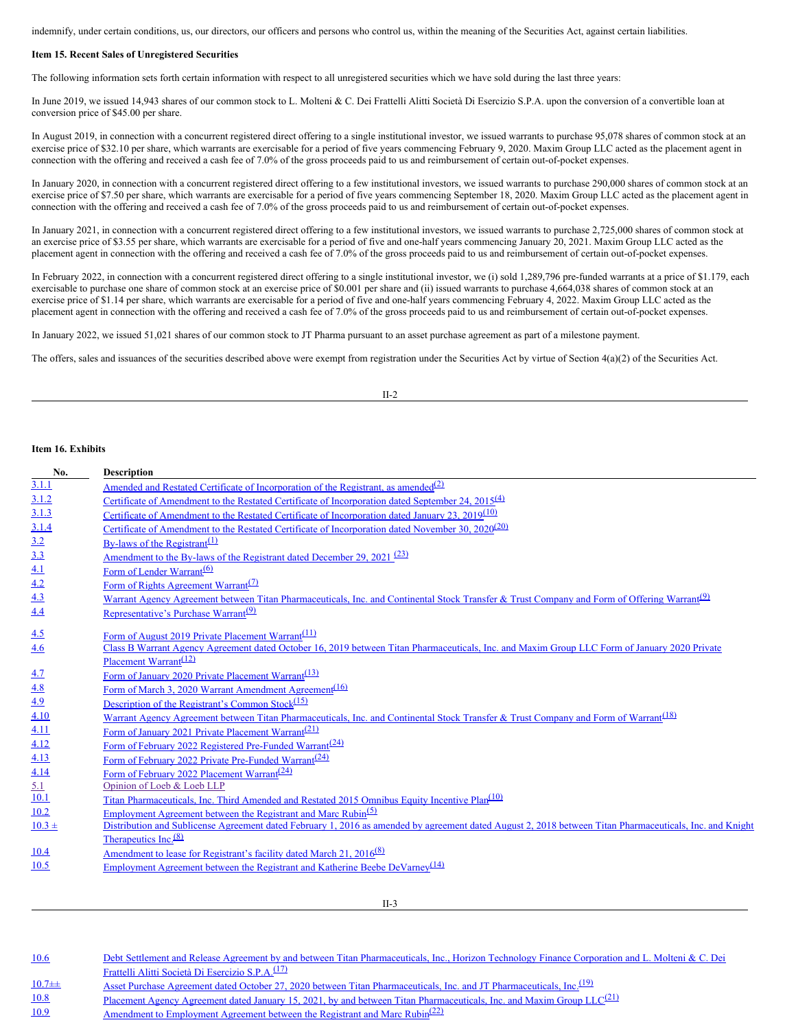indemnify, under certain conditions, us, our directors, our officers and persons who control us, within the meaning of the Securities Act, against certain liabilities.

## **Item 15. Recent Sales of Unregistered Securities**

The following information sets forth certain information with respect to all unregistered securities which we have sold during the last three years:

In June 2019, we issued 14,943 shares of our common stock to L. Molteni & C. Dei Frattelli Alitti Società Di Esercizio S.P.A. upon the conversion of a convertible loan at conversion price of \$45.00 per share.

In August 2019, in connection with a concurrent registered direct offering to a single institutional investor, we issued warrants to purchase 95,078 shares of common stock at an exercise price of \$32.10 per share, which warrants are exercisable for a period of five years commencing February 9, 2020. Maxim Group LLC acted as the placement agent in connection with the offering and received a cash fee of 7.0% of the gross proceeds paid to us and reimbursement of certain out-of-pocket expenses.

In January 2020, in connection with a concurrent registered direct offering to a few institutional investors, we issued warrants to purchase 290,000 shares of common stock at an exercise price of \$7.50 per share, which warrants are exercisable for a period of five years commencing September 18, 2020. Maxim Group LLC acted as the placement agent in connection with the offering and received a cash fee of 7.0% of the gross proceeds paid to us and reimbursement of certain out-of-pocket expenses.

In January 2021, in connection with a concurrent registered direct offering to a few institutional investors, we issued warrants to purchase 2,725,000 shares of common stock at an exercise price of \$3.55 per share, which warrants are exercisable for a period of five and one-half years commencing January 20, 2021. Maxim Group LLC acted as the placement agent in connection with the offering and received a cash fee of 7.0% of the gross proceeds paid to us and reimbursement of certain out-of-pocket expenses.

In February 2022, in connection with a concurrent registered direct offering to a single institutional investor, we (i) sold 1,289,796 pre-funded warrants at a price of \$1.179, each exercisable to purchase one share of common stock at an exercise price of \$0.001 per share and (ii) issued warrants to purchase 4,664,038 shares of common stock at an exercise price of \$1.14 per share, which warrants are exercisable for a period of five and one-half years commencing February 4, 2022. Maxim Group LLC acted as the placement agent in connection with the offering and received a cash fee of 7.0% of the gross proceeds paid to us and reimbursement of certain out-of-pocket expenses.

In January 2022, we issued 51,021 shares of our common stock to JT Pharma pursuant to an asset purchase agreement as part of a milestone payment.

The offers, sales and issuances of the securities described above were exempt from registration under the Securities Act by virtue of Section 4(a)(2) of the Securities Act.

### **Item 16. Exhibits**

| No.                                                                                             | <b>Description</b>                                                                                                                                       |
|-------------------------------------------------------------------------------------------------|----------------------------------------------------------------------------------------------------------------------------------------------------------|
| 3.1.1                                                                                           | Amended and Restated Certificate of Incorporation of the Registrant, as amended <sup>(2)</sup>                                                           |
|                                                                                                 | Certificate of Amendment to the Restated Certificate of Incorporation dated September 24, 2015 <sup>(4)</sup>                                            |
| $\frac{3.1.2}{3.1.3}$ $\frac{3.1.3}{3.2}$ $\frac{3.2}{3.3}$ $\frac{4.1}{4.2}$ $\frac{4.2}{4.4}$ | Certificate of Amendment to the Restated Certificate of Incorporation dated January 23, 2019 <sup>(10)</sup>                                             |
|                                                                                                 | Certificate of Amendment to the Restated Certificate of Incorporation dated November 30, 2020 <sup>(20)</sup>                                            |
|                                                                                                 | By-laws of the Registrant <sup>(1)</sup>                                                                                                                 |
|                                                                                                 | Amendment to the By-laws of the Registrant dated December 29, 2021 <sup>(23)</sup>                                                                       |
|                                                                                                 | Form of Lender Warrant <sup>(6)</sup>                                                                                                                    |
|                                                                                                 | Form of Rights Agreement Warrant <sup><math>(7)</math></sup>                                                                                             |
|                                                                                                 | Warrant Agency Agreement between Titan Pharmaceuticals, Inc. and Continental Stock Transfer & Trust Company and Form of Offering Warrant <sup>(9)</sup>  |
|                                                                                                 | Representative's Purchase Warrant <sup>(9)</sup>                                                                                                         |
| 4.5                                                                                             | Form of August 2019 Private Placement Warrant <sup>(11)</sup>                                                                                            |
| 4.6                                                                                             | Class B Warrant Agency Agreement dated October 16, 2019 between Titan Pharmaceuticals, Inc. and Maxim Group LLC Form of January 2020 Private             |
|                                                                                                 | Placement Warrant <sup>(12)</sup>                                                                                                                        |
|                                                                                                 | Form of January 2020 Private Placement Warrant <sup>(13)</sup>                                                                                           |
| $\frac{4.7}{4.8}$                                                                               | Form of March 3, 2020 Warrant Amendment Agreement <sup>(16)</sup>                                                                                        |
| 4.9                                                                                             | Description of the Registrant's Common Stock $(15)$                                                                                                      |
| 4.10                                                                                            | Warrant Agency Agreement between Titan Pharmaceuticals, Inc. and Continental Stock Transfer & Trust Company and Form of Warrant <sup>(18)</sup>          |
| 4.11                                                                                            | Form of January 2021 Private Placement Warrant <sup>(21)</sup>                                                                                           |
| 4.12                                                                                            | Form of February 2022 Registered Pre-Funded Warrant <sup>(24)</sup>                                                                                      |
| 4.13                                                                                            | Form of February 2022 Private Pre-Funded Warrant <sup>(24)</sup>                                                                                         |
| 4.14                                                                                            | Form of February 2022 Placement Warrant <sup>(24)</sup>                                                                                                  |
| $\frac{5.1}{10.1}$                                                                              | Opinion of Loeb & Loeb LLP                                                                                                                               |
|                                                                                                 | Titan Pharmaceuticals, Inc. Third Amended and Restated 2015 Omnibus Equity Incentive Plan <sup>(10)</sup>                                                |
| 10.2                                                                                            | Employment Agreement between the Registrant and Marc Rubin <sup>(5)</sup>                                                                                |
| $10.3 \pm$                                                                                      | Distribution and Sublicense Agreement dated February 1, 2016 as amended by agreement dated August 2, 2018 between Titan Pharmaceuticals, Inc. and Knight |
|                                                                                                 | Therapeutics Inc. <sup>(8)</sup>                                                                                                                         |
| 10.4                                                                                            | Amendment to lease for Registrant's facility dated March 21, 2016 <sup>(8)</sup>                                                                         |
| 10.5                                                                                            | Employment Agreement between the Registrant and Katherine Beebe DeVarney <sup>(14)</sup>                                                                 |

II-3

| 10.6         | Debt Settlement and Release Agreement by and between Titan Pharmaceuticals, Inc., Horizon Technology Finance Corporation and L. Molteni & C. Dei |
|--------------|--------------------------------------------------------------------------------------------------------------------------------------------------|
|              | Frattelli Alitti Società Di Esercizio S.P.A. <sup>(17)</sup>                                                                                     |
| $10.7 \pm 1$ | Asset Purchase Agreement dated October 27, 2020 between Titan Pharmaceuticals, Inc. and JT Pharmaceuticals, Inc. $(19)$                          |
| <b>10.8</b>  | Placement Agency Agreement dated January 15, 2021, by and between Titan Pharmaceuticals. Inc. and Maxim Group $LLC^{\underline{(21)}}$           |
| 10.9         | Amendment to Employment Agreement between the Registrant and Marc Rubin <sup><math>(22)</math></sup>                                             |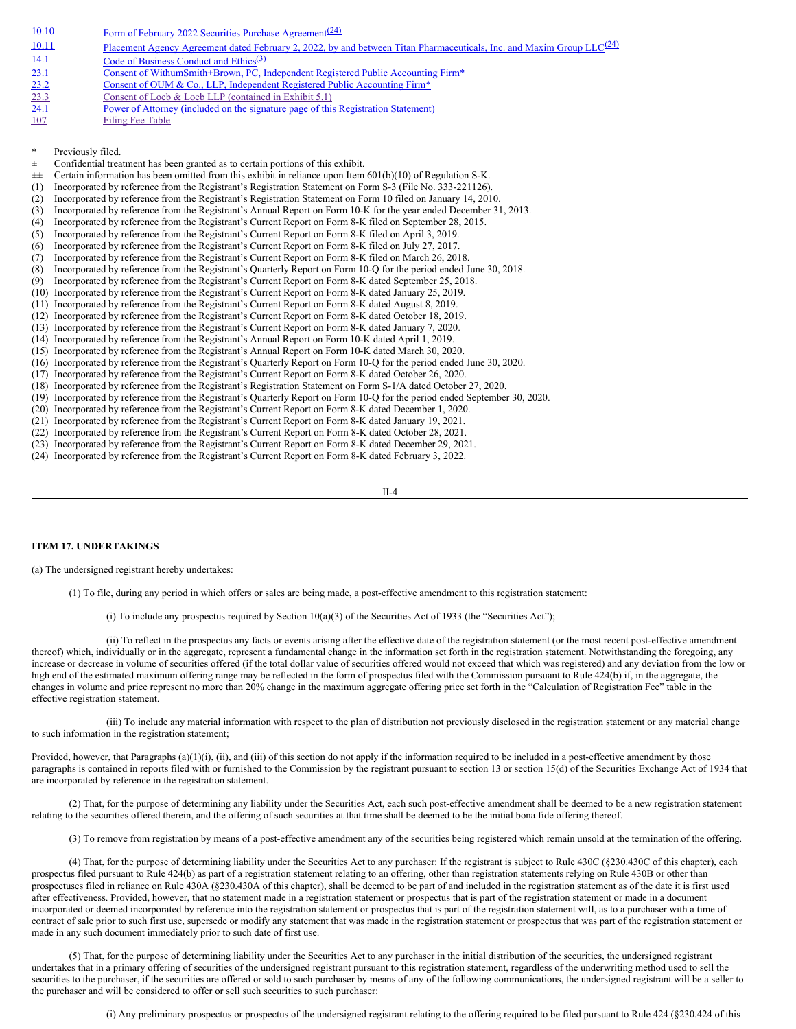| 10.10       | Form of February 2022 Securities Purchase Agreement <sup>(24)</sup>                                                               |
|-------------|-----------------------------------------------------------------------------------------------------------------------------------|
| 10.11       | Placement Agency Agreement dated February 2, 2022, by and between Titan Pharmaceuticals, Inc. and Maxim Group LLC <sup>(24)</sup> |
| <u>14.1</u> | Code of Business Conduct and Ethics <sup>(3)</sup>                                                                                |
| 23.1        | Consent of WithumSmith+Brown, PC, Independent Registered Public Accounting Firm*                                                  |
| 23.2        | Consent of OUM & Co., LLP, Independent Registered Public Accounting Firm*                                                         |
| 23.3        | Consent of Loeb & Loeb LLP (contained in Exhibit 5.1)                                                                             |
| 24.1        | Power of Attorney (included on the signature page of this Registration Statement)                                                 |
| 107         | <b>Filing Fee Table</b>                                                                                                           |

Previously filed.

- ± Confidential treatment has been granted as to certain portions of this exhibit.
- $\pm\pm$  Certain information has been omitted from this exhibit in reliance upon Item 601(b)(10) of Regulation S-K.
- (1) Incorporated by reference from the Registrant's Registration Statement on Form S-3 (File No. 333-221126).
- (2) Incorporated by reference from the Registrant's Registration Statement on Form 10 filed on January 14, 2010.
- (3) Incorporated by reference from the Registrant's Annual Report on Form 10-K for the year ended December 31, 2013.
- (4) Incorporated by reference from the Registrant's Current Report on Form 8-K filed on September 28, 2015.
- (5) Incorporated by reference from the Registrant's Current Report on Form 8-K filed on April 3, 2019.
- (6) Incorporated by reference from the Registrant's Current Report on Form 8-K filed on July 27, 2017.
- (7) Incorporated by reference from the Registrant's Current Report on Form 8-K filed on March 26, 2018.
- (8) Incorporated by reference from the Registrant's Quarterly Report on Form 10-Q for the period ended June 30, 2018.
- (9) Incorporated by reference from the Registrant's Current Report on Form 8-K dated September 25, 2018.
- (10) Incorporated by reference from the Registrant's Current Report on Form 8-K dated January 25, 2019.
- (11) Incorporated by reference from the Registrant's Current Report on Form 8-K dated August 8, 2019.
- (12) Incorporated by reference from the Registrant's Current Report on Form 8-K dated October 18, 2019.
- (13) Incorporated by reference from the Registrant's Current Report on Form 8-K dated January 7, 2020.
- (14) Incorporated by reference from the Registrant's Annual Report on Form 10-K dated April 1, 2019.
- (15) Incorporated by reference from the Registrant's Annual Report on Form 10-K dated March 30, 2020.
- (16) Incorporated by reference from the Registrant's Quarterly Report on Form 10-Q for the period ended June 30, 2020.
- (17) Incorporated by reference from the Registrant's Current Report on Form 8-K dated October 26, 2020.
- (18) Incorporated by reference from the Registrant's Registration Statement on Form S-1/A dated October 27, 2020.
- (19) Incorporated by reference from the Registrant's Quarterly Report on Form 10-Q for the period ended September 30, 2020.
- (20) Incorporated by reference from the Registrant's Current Report on Form 8-K dated December 1, 2020.
- (21) Incorporated by reference from the Registrant's Current Report on Form 8-K dated January 19, 2021.
- (22) Incorporated by reference from the Registrant's Current Report on Form 8-K dated October 28, 2021.
- (23) Incorporated by reference from the Registrant's Current Report on Form 8-K dated December 29, 2021.
- (24) Incorporated by reference from the Registrant's Current Report on Form 8-K dated February 3, 2022.

II-4

#### **ITEM 17. UNDERTAKINGS**

(a) The undersigned registrant hereby undertakes:

(1) To file, during any period in which offers or sales are being made, a post-effective amendment to this registration statement:

(i) To include any prospectus required by Section  $10(a)(3)$  of the Securities Act of 1933 (the "Securities Act");

(ii) To reflect in the prospectus any facts or events arising after the effective date of the registration statement (or the most recent post-effective amendment thereof) which, individually or in the aggregate, represent a fundamental change in the information set forth in the registration statement. Notwithstanding the foregoing, any increase or decrease in volume of securities offered (if the total dollar value of securities offered would not exceed that which was registered) and any deviation from the low or high end of the estimated maximum offering range may be reflected in the form of prospectus filed with the Commission pursuant to Rule 424(b) if, in the aggregate, the changes in volume and price represent no more than 20% change in the maximum aggregate offering price set forth in the "Calculation of Registration Fee" table in the effective registration statement.

(iii) To include any material information with respect to the plan of distribution not previously disclosed in the registration statement or any material change to such information in the registration statement;

Provided, however, that Paragraphs (a)(1)(i), (ii), and (iii) of this section do not apply if the information required to be included in a post-effective amendment by those paragraphs is contained in reports filed with or furnished to the Commission by the registrant pursuant to section 13 or section 15(d) of the Securities Exchange Act of 1934 that are incorporated by reference in the registration statement.

(2) That, for the purpose of determining any liability under the Securities Act, each such post-effective amendment shall be deemed to be a new registration statement relating to the securities offered therein, and the offering of such securities at that time shall be deemed to be the initial bona fide offering thereof.

(3) To remove from registration by means of a post-effective amendment any of the securities being registered which remain unsold at the termination of the offering.

(4) That, for the purpose of determining liability under the Securities Act to any purchaser: If the registrant is subject to Rule 430C (§230.430C of this chapter), each prospectus filed pursuant to Rule 424(b) as part of a registration statement relating to an offering, other than registration statements relying on Rule 430B or other than prospectuses filed in reliance on Rule 430A (§230.430A of this chapter), shall be deemed to be part of and included in the registration statement as of the date it is first used after effectiveness. Provided, however, that no statement made in a registration statement or prospectus that is part of the registration statement or made in a document incorporated or deemed incorporated by reference into the registration statement or prospectus that is part of the registration statement will, as to a purchaser with a time of contract of sale prior to such first use, supersede or modify any statement that was made in the registration statement or prospectus that was part of the registration statement or made in any such document immediately prior to such date of first use.

(5) That, for the purpose of determining liability under the Securities Act to any purchaser in the initial distribution of the securities, the undersigned registrant undertakes that in a primary offering of securities of the undersigned registrant pursuant to this registration statement, regardless of the underwriting method used to sell the securities to the purchaser, if the securities are offered or sold to such purchaser by means of any of the following communications, the undersigned registrant will be a seller to the purchaser and will be considered to offer or sell such securities to such purchaser:

(i) Any preliminary prospectus or prospectus of the undersigned registrant relating to the offering required to be filed pursuant to Rule 424 (§230.424 of this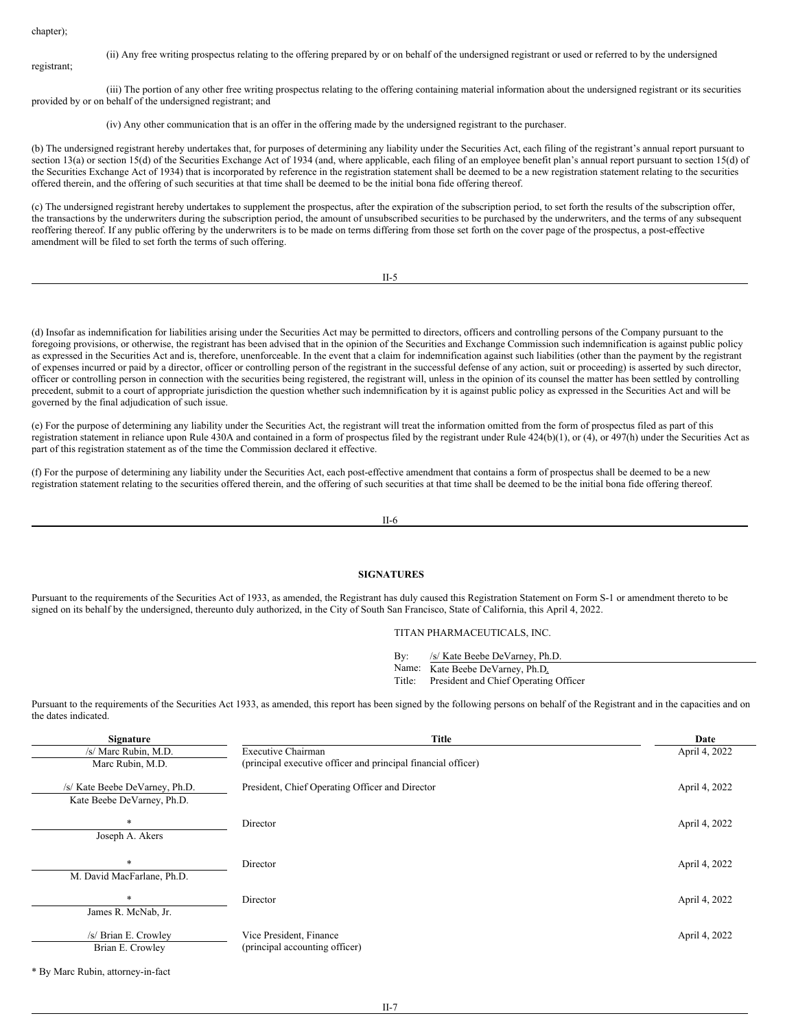registrant;

(ii) Any free writing prospectus relating to the offering prepared by or on behalf of the undersigned registrant or used or referred to by the undersigned

(iii) The portion of any other free writing prospectus relating to the offering containing material information about the undersigned registrant or its securities provided by or on behalf of the undersigned registrant; and

(iv) Any other communication that is an offer in the offering made by the undersigned registrant to the purchaser.

(b) The undersigned registrant hereby undertakes that, for purposes of determining any liability under the Securities Act, each filing of the registrant's annual report pursuant to section 13(a) or section 15(d) of the Securities Exchange Act of 1934 (and, where applicable, each filing of an employee benefit plan's annual report pursuant to section 15(d) of the Securities Exchange Act of 1934) that is incorporated by reference in the registration statement shall be deemed to be a new registration statement relating to the securities offered therein, and the offering of such securities at that time shall be deemed to be the initial bona fide offering thereof.

(c) The undersigned registrant hereby undertakes to supplement the prospectus, after the expiration of the subscription period, to set forth the results of the subscription offer, the transactions by the underwriters during the subscription period, the amount of unsubscribed securities to be purchased by the underwriters, and the terms of any subsequent reoffering thereof. If any public offering by the underwriters is to be made on terms differing from those set forth on the cover page of the prospectus, a post-effective amendment will be filed to set forth the terms of such offering.

II-5

(d) Insofar as indemnification for liabilities arising under the Securities Act may be permitted to directors, officers and controlling persons of the Company pursuant to the foregoing provisions, or otherwise, the registrant has been advised that in the opinion of the Securities and Exchange Commission such indemnification is against public policy as expressed in the Securities Act and is, therefore, unenforceable. In the event that a claim for indemnification against such liabilities (other than the payment by the registrant of expenses incurred or paid by a director, officer or controlling person of the registrant in the successful defense of any action, suit or proceeding) is asserted by such director, officer or controlling person in connection with the securities being registered, the registrant will, unless in the opinion of its counsel the matter has been settled by controlling precedent, submit to a court of appropriate jurisdiction the question whether such indemnification by it is against public policy as expressed in the Securities Act and will be governed by the final adjudication of such issue.

(e) For the purpose of determining any liability under the Securities Act, the registrant will treat the information omitted from the form of prospectus filed as part of this registration statement in reliance upon Rule 430A and contained in a form of prospectus filed by the registrant under Rule 424(b)(1), or (4), or 497(h) under the Securities Act as part of this registration statement as of the time the Commission declared it effective.

(f) For the purpose of determining any liability under the Securities Act, each post-effective amendment that contains a form of prospectus shall be deemed to be a new registration statement relating to the securities offered therein, and the offering of such securities at that time shall be deemed to be the initial bona fide offering thereof.

II-6

### <span id="page-4-0"></span>**SIGNATURES**

Pursuant to the requirements of the Securities Act of 1933, as amended, the Registrant has duly caused this Registration Statement on Form S-1 or amendment thereto to be signed on its behalf by the undersigned, thereunto duly authorized, in the City of South San Francisco, State of California, this April 4, 2022.

TITAN PHARMACEUTICALS, INC.

By: /s/ Kate Beebe DeVarney, Ph.D.

Name: Kate Beebe DeVarney, Ph.D.

Title: President and Chief Operating Officer

Pursuant to the requirements of the Securities Act 1933, as amended, this report has been signed by the following persons on behalf of the Registrant and in the capacities and on the dates indicated.

| Signature                      | <b>Title</b>                                                  |               |
|--------------------------------|---------------------------------------------------------------|---------------|
| /s/ Marc Rubin, M.D.           | <b>Executive Chairman</b>                                     | April 4, 2022 |
| Marc Rubin, M.D.               | (principal executive officer and principal financial officer) |               |
| /s/ Kate Beebe DeVarney, Ph.D. | President, Chief Operating Officer and Director               | April 4, 2022 |
| Kate Beebe DeVarney, Ph.D.     |                                                               |               |
| $*$                            | Director                                                      | April 4, 2022 |
| Joseph A. Akers                |                                                               |               |
|                                |                                                               |               |
| *                              | Director                                                      | April 4, 2022 |
| M. David MacFarlane, Ph.D.     |                                                               |               |
| $\ast$                         | Director                                                      | April 4, 2022 |
| James R. McNab, Jr.            |                                                               |               |
|                                |                                                               |               |
| /s/ Brian E. Crowley           | Vice President, Finance                                       | April 4, 2022 |
| Brian E. Crowley               | (principal accounting officer)                                |               |

\* By Marc Rubin, attorney-in-fact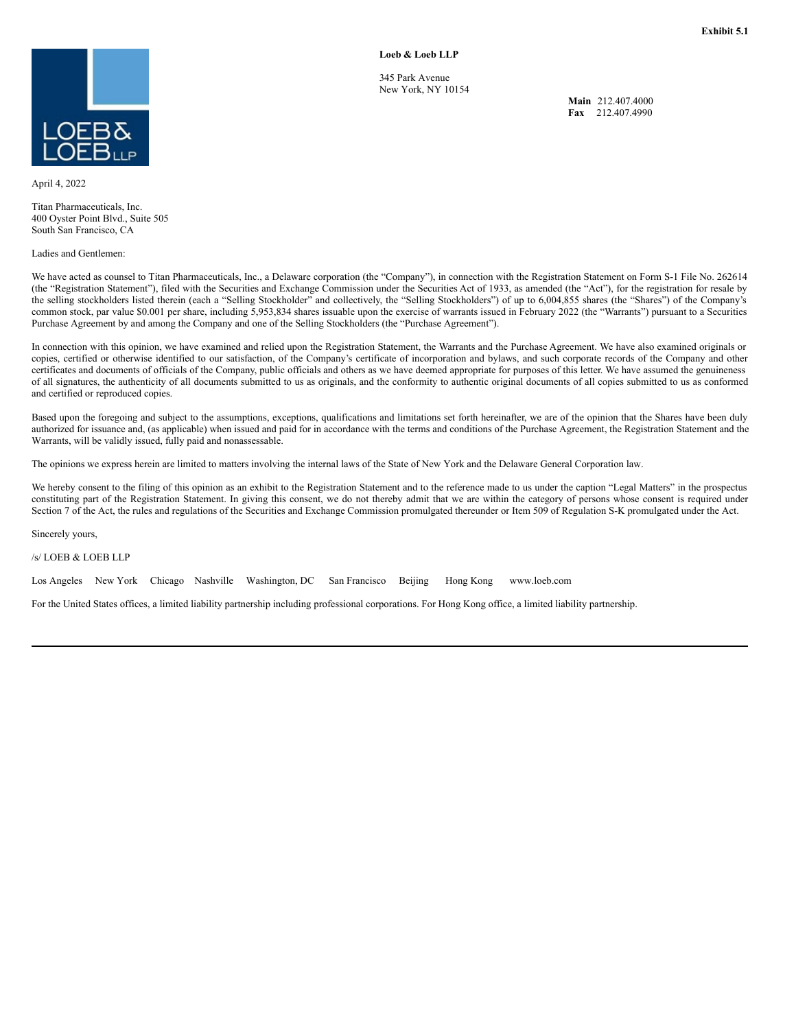345 Park Avenue New York, NY 10154

> **Main** 212.407.4000 **Fax** 212.407.4990

<span id="page-6-0"></span>

April 4, 2022

Titan Pharmaceuticals, Inc. 400 Oyster Point Blvd., Suite 505 South San Francisco, CA

Ladies and Gentlemen:

We have acted as counsel to Titan Pharmaceuticals, Inc., a Delaware corporation (the "Company"), in connection with the Registration Statement on Form S-1 File No. 262614 (the "Registration Statement"), filed with the Securities and Exchange Commission under the Securities Act of 1933, as amended (the "Act"), for the registration for resale by the selling stockholders listed therein (each a "Selling Stockholder" and collectively, the "Selling Stockholders") of up to 6,004,855 shares (the "Shares") of the Company's common stock, par value \$0.001 per share, including 5,953,834 shares issuable upon the exercise of warrants issued in February 2022 (the "Warrants") pursuant to a Securities Purchase Agreement by and among the Company and one of the Selling Stockholders (the "Purchase Agreement").

In connection with this opinion, we have examined and relied upon the Registration Statement, the Warrants and the Purchase Agreement. We have also examined originals or copies, certified or otherwise identified to our satisfaction, of the Company's certificate of incorporation and bylaws, and such corporate records of the Company and other certificates and documents of officials of the Company, public officials and others as we have deemed appropriate for purposes of this letter. We have assumed the genuineness of all signatures, the authenticity of all documents submitted to us as originals, and the conformity to authentic original documents of all copies submitted to us as conformed and certified or reproduced copies.

Based upon the foregoing and subject to the assumptions, exceptions, qualifications and limitations set forth hereinafter, we are of the opinion that the Shares have been duly authorized for issuance and, (as applicable) when issued and paid for in accordance with the terms and conditions of the Purchase Agreement, the Registration Statement and the Warrants, will be validly issued, fully paid and nonassessable.

The opinions we express herein are limited to matters involving the internal laws of the State of New York and the Delaware General Corporation law.

We hereby consent to the filing of this opinion as an exhibit to the Registration Statement and to the reference made to us under the caption "Legal Matters" in the prospectus constituting part of the Registration Statement. In giving this consent, we do not thereby admit that we are within the category of persons whose consent is required under Section 7 of the Act, the rules and regulations of the Securities and Exchange Commission promulgated thereunder or Item 509 of Regulation S-K promulgated under the Act.

Sincerely yours,

/s/ LOEB & LOEB LLP

Los Angeles New York Chicago Nashville Washington, DC San Francisco Beijing Hong Kong www.loeb.com

For the United States offices, a limited liability partnership including professional corporations. For Hong Kong office, a limited liability partnership.